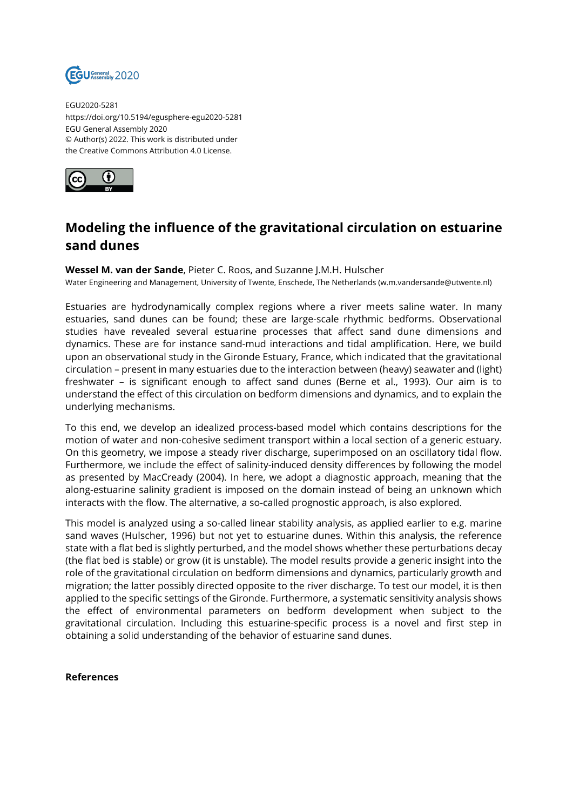

EGU2020-5281 https://doi.org/10.5194/egusphere-egu2020-5281 EGU General Assembly 2020 © Author(s) 2022. This work is distributed under the Creative Commons Attribution 4.0 License.



## **Modeling the influence of the gravitational circulation on estuarine sand dunes**

## **Wessel M. van der Sande**, Pieter C. Roos, and Suzanne J.M.H. Hulscher

Water Engineering and Management, University of Twente, Enschede, The Netherlands (w.m.vandersande@utwente.nl)

Estuaries are hydrodynamically complex regions where a river meets saline water. In many estuaries, sand dunes can be found; these are large-scale rhythmic bedforms. Observational studies have revealed several estuarine processes that affect sand dune dimensions and dynamics. These are for instance sand-mud interactions and tidal amplification. Here, we build upon an observational study in the Gironde Estuary, France, which indicated that the gravitational circulation – present in many estuaries due to the interaction between (heavy) seawater and (light) freshwater – is significant enough to affect sand dunes (Berne et al., 1993). Our aim is to understand the effect of this circulation on bedform dimensions and dynamics, and to explain the underlying mechanisms.

To this end, we develop an idealized process-based model which contains descriptions for the motion of water and non-cohesive sediment transport within a local section of a generic estuary. On this geometry, we impose a steady river discharge, superimposed on an oscillatory tidal flow. Furthermore, we include the effect of salinity-induced density differences by following the model as presented by MacCready (2004). In here, we adopt a diagnostic approach, meaning that the along-estuarine salinity gradient is imposed on the domain instead of being an unknown which interacts with the flow. The alternative, a so-called prognostic approach, is also explored.

This model is analyzed using a so-called linear stability analysis, as applied earlier to e.g. marine sand waves (Hulscher, 1996) but not yet to estuarine dunes. Within this analysis, the reference state with a flat bed is slightly perturbed, and the model shows whether these perturbations decay (the flat bed is stable) or grow (it is unstable). The model results provide a generic insight into the role of the gravitational circulation on bedform dimensions and dynamics, particularly growth and migration; the latter possibly directed opposite to the river discharge. To test our model, it is then applied to the specific settings of the Gironde. Furthermore, a systematic sensitivity analysis shows the effect of environmental parameters on bedform development when subject to the gravitational circulation. Including this estuarine-specific process is a novel and first step in obtaining a solid understanding of the behavior of estuarine sand dunes.

## **References**